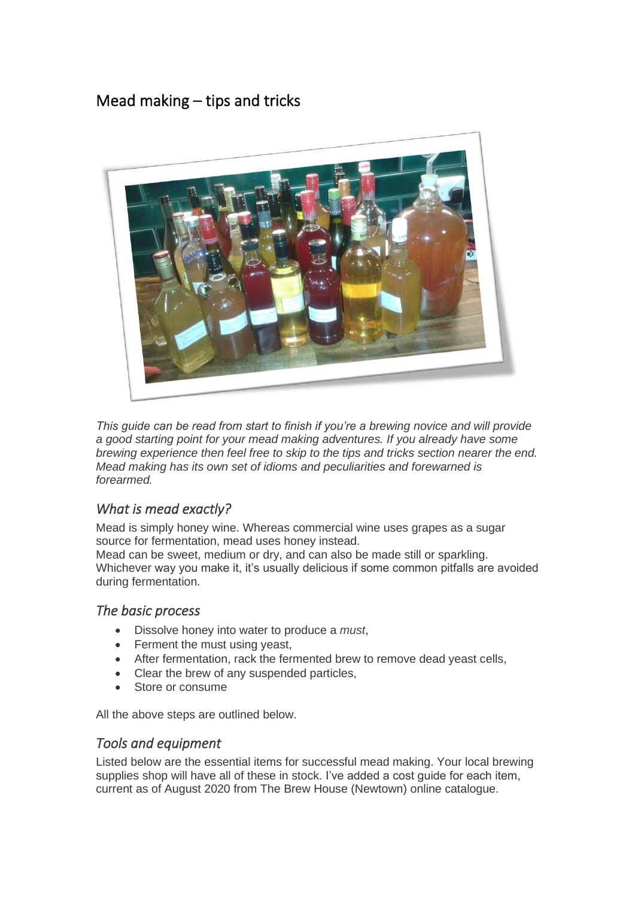# Mead making – tips and tricks



*This guide can be read from start to finish if you're a brewing novice and will provide a good starting point for your mead making adventures. If you already have some brewing experience then feel free to skip to the tips and tricks section nearer the end. Mead making has its own set of idioms and peculiarities and forewarned is forearmed.*

# *What is mead exactly?*

Mead is simply honey wine. Whereas commercial wine uses grapes as a sugar source for fermentation, mead uses honey instead.

Mead can be sweet, medium or dry, and can also be made still or sparkling. Whichever way you make it, it's usually delicious if some common pitfalls are avoided during fermentation.

## *The basic process*

- Dissolve honey into water to produce a *must*,
- Ferment the must using yeast,
- After fermentation, rack the fermented brew to remove dead yeast cells,
- Clear the brew of any suspended particles,
- Store or consume

All the above steps are outlined below.

## *Tools and equipment*

Listed below are the essential items for successful mead making. Your local brewing supplies shop will have all of these in stock. I've added a cost guide for each item, current as of August 2020 from The Brew House (Newtown) online catalogue.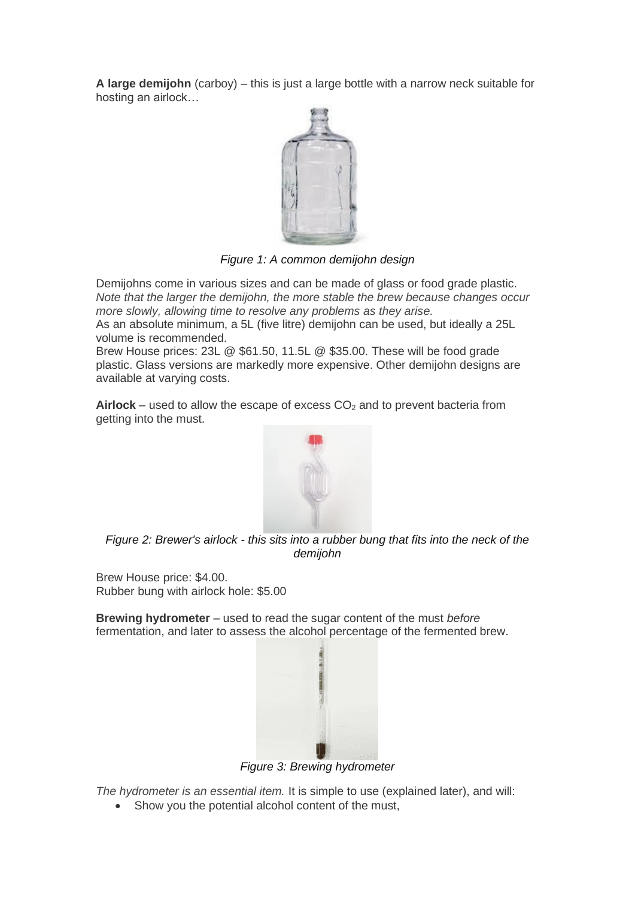**A large demijohn** (carboy) – this is just a large bottle with a narrow neck suitable for hosting an airlock…



*Figure 1: A common demijohn design*

Demijohns come in various sizes and can be made of glass or food grade plastic. *Note that the larger the demijohn, the more stable the brew because changes occur more slowly, allowing time to resolve any problems as they arise.*

As an absolute minimum, a 5L (five litre) demijohn can be used, but ideally a 25L volume is recommended.

Brew House prices: 23L @ \$61.50, 11.5L @ \$35.00. These will be food grade plastic. Glass versions are markedly more expensive. Other demijohn designs are available at varying costs.

**Airlock** – used to allow the escape of excess  $CO<sub>2</sub>$  and to prevent bacteria from getting into the must.



*Figure 2: Brewer's airlock - this sits into a rubber bung that fits into the neck of the demijohn*

Brew House price: \$4.00. Rubber bung with airlock hole: \$5.00

**Brewing hydrometer** – used to read the sugar content of the must *before* fermentation, and later to assess the alcohol percentage of the fermented brew.



*Figure 3: Brewing hydrometer*

*The hydrometer is an essential item.* It is simple to use (explained later), and will:

• Show you the potential alcohol content of the must,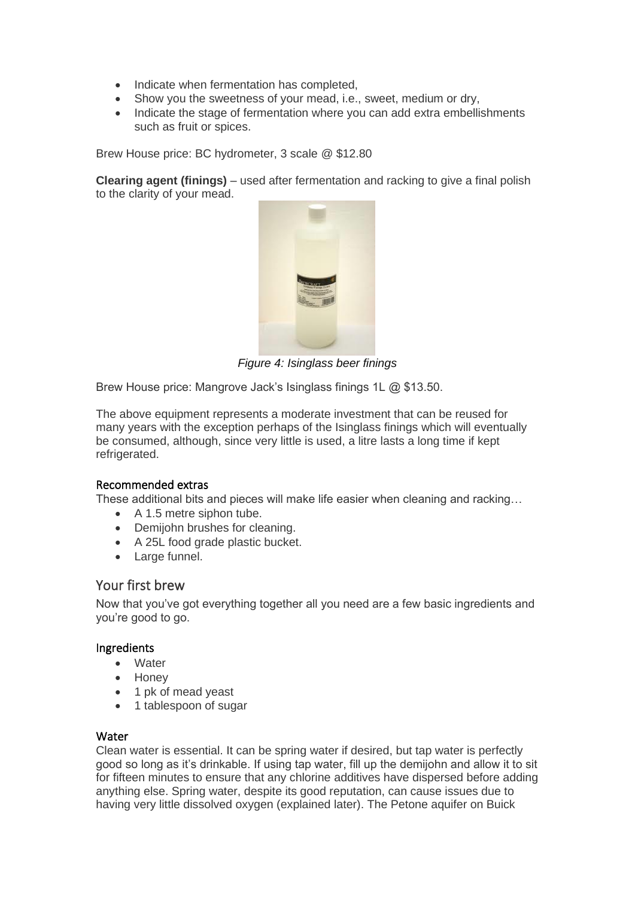- Indicate when fermentation has completed,
- Show you the sweetness of your mead, i.e., sweet, medium or dry,
- Indicate the stage of fermentation where you can add extra embellishments such as fruit or spices.

Brew House price: BC hydrometer, 3 scale @ \$12.80

**Clearing agent (finings)** – used after fermentation and racking to give a final polish to the clarity of your mead.



*Figure 4: Isinglass beer finings*

Brew House price: Mangrove Jack's Isinglass finings 1L @ \$13.50.

The above equipment represents a moderate investment that can be reused for many years with the exception perhaps of the Isinglass finings which will eventually be consumed, although, since very little is used, a litre lasts a long time if kept refrigerated.

#### Recommended extras

These additional bits and pieces will make life easier when cleaning and racking…

- A 1.5 metre siphon tube.
- Demijohn brushes for cleaning.
- A 25L food grade plastic bucket.
- Large funnel.

### Your first brew

Now that you've got everything together all you need are a few basic ingredients and you're good to go.

#### Ingredients

- Water
- Honey
- 1 pk of mead yeast
- 1 tablespoon of sugar

#### Water

Clean water is essential. It can be spring water if desired, but tap water is perfectly good so long as it's drinkable. If using tap water, fill up the demijohn and allow it to sit for fifteen minutes to ensure that any chlorine additives have dispersed before adding anything else. Spring water, despite its good reputation, can cause issues due to having very little dissolved oxygen (explained later). The Petone aquifer on Buick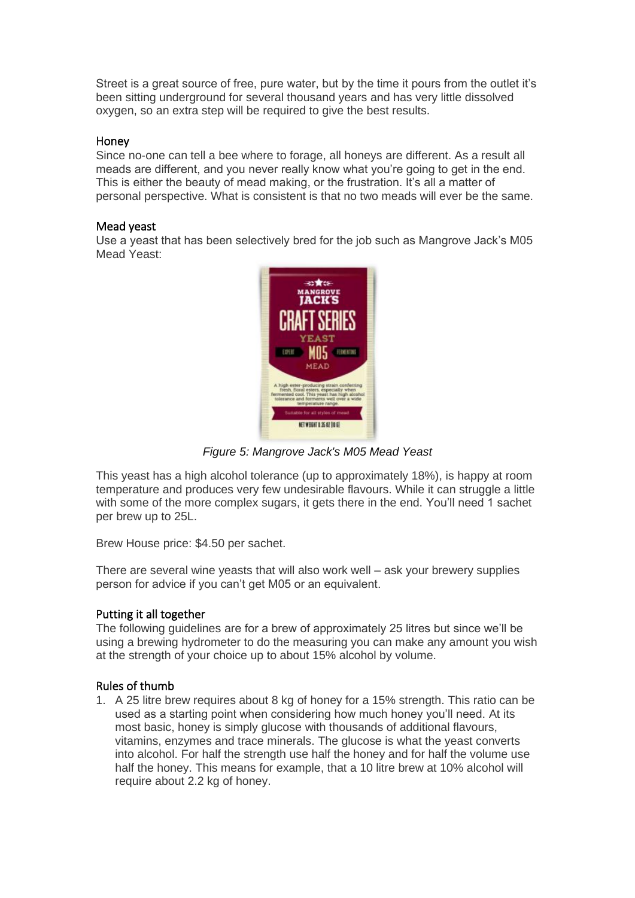Street is a great source of free, pure water, but by the time it pours from the outlet it's been sitting underground for several thousand years and has very little dissolved oxygen, so an extra step will be required to give the best results.

#### Honey

Since no-one can tell a bee where to forage, all honeys are different. As a result all meads are different, and you never really know what you're going to get in the end. This is either the beauty of mead making, or the frustration. It's all a matter of personal perspective. What is consistent is that no two meads will ever be the same.

#### Mead yeast

Use a yeast that has been selectively bred for the job such as Mangrove Jack's M05 Mead Yeast:



*Figure 5: Mangrove Jack's M05 Mead Yeast*

This yeast has a high alcohol tolerance (up to approximately 18%), is happy at room temperature and produces very few undesirable flavours. While it can struggle a little with some of the more complex sugars, it gets there in the end. You'll need 1 sachet per brew up to 25L.

Brew House price: \$4.50 per sachet.

There are several wine yeasts that will also work well – ask your brewery supplies person for advice if you can't get M05 or an equivalent.

#### Putting it all together

The following guidelines are for a brew of approximately 25 litres but since we'll be using a brewing hydrometer to do the measuring you can make any amount you wish at the strength of your choice up to about 15% alcohol by volume.

#### Rules of thumb

1. A 25 litre brew requires about 8 kg of honey for a 15% strength. This ratio can be used as a starting point when considering how much honey you'll need. At its most basic, honey is simply glucose with thousands of additional flavours, vitamins, enzymes and trace minerals. The glucose is what the yeast converts into alcohol. For half the strength use half the honey and for half the volume use half the honey. This means for example, that a 10 litre brew at 10% alcohol will require about 2.2 kg of honey.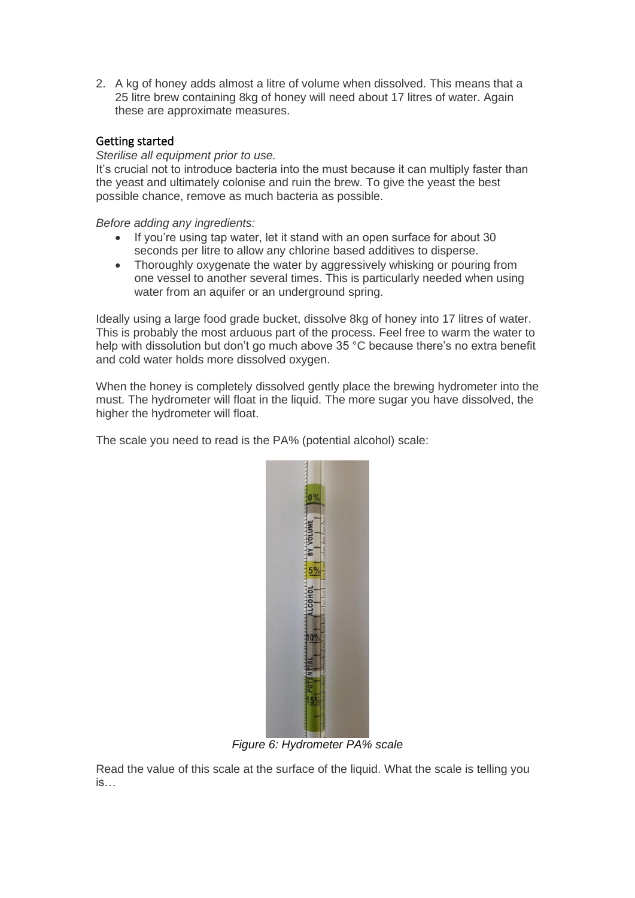2. A kg of honey adds almost a litre of volume when dissolved. This means that a 25 litre brew containing 8kg of honey will need about 17 litres of water. Again these are approximate measures.

#### Getting started

#### *Sterilise all equipment prior to use.*

It's crucial not to introduce bacteria into the must because it can multiply faster than the yeast and ultimately colonise and ruin the brew. To give the yeast the best possible chance, remove as much bacteria as possible.

*Before adding any ingredients:*

- If you're using tap water, let it stand with an open surface for about 30 seconds per litre to allow any chlorine based additives to disperse.
- Thoroughly oxygenate the water by aggressively whisking or pouring from one vessel to another several times. This is particularly needed when using water from an aquifer or an underground spring.

Ideally using a large food grade bucket, dissolve 8kg of honey into 17 litres of water. This is probably the most arduous part of the process. Feel free to warm the water to help with dissolution but don't go much above 35 °C because there's no extra benefit and cold water holds more dissolved oxygen.

When the honey is completely dissolved gently place the brewing hydrometer into the must. The hydrometer will float in the liquid. The more sugar you have dissolved, the higher the hydrometer will float.

The scale you need to read is the PA% (potential alcohol) scale:



*Figure 6: Hydrometer PA% scale*

Read the value of this scale at the surface of the liquid. What the scale is telling you is…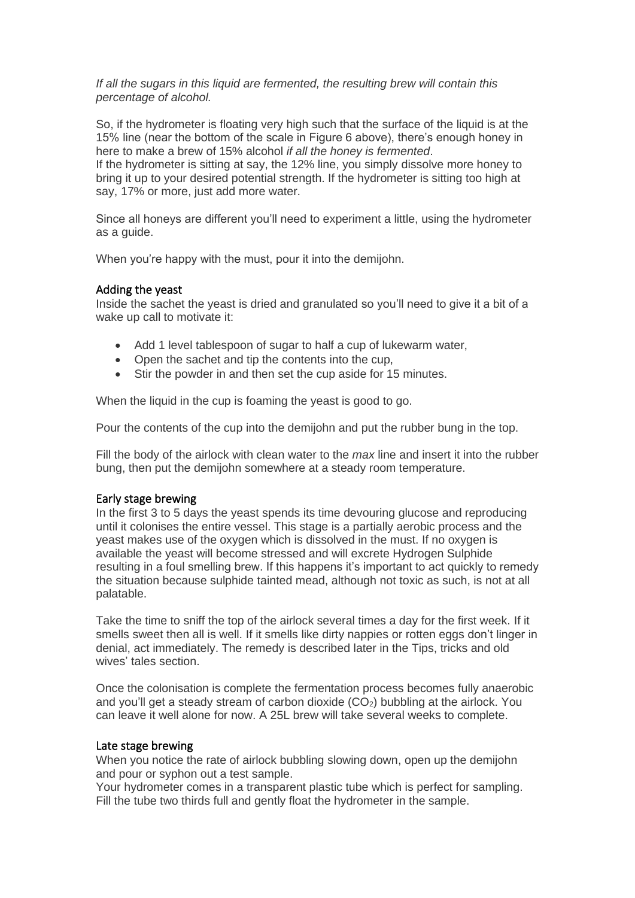#### *If all the sugars in this liquid are fermented, the resulting brew will contain this percentage of alcohol.*

So, if the hydrometer is floating very high such that the surface of the liquid is at the 15% line (near the bottom of the scale in Figure 6 above), there's enough honey in here to make a brew of 15% alcohol *if all the honey is fermented*.

If the hydrometer is sitting at say, the 12% line, you simply dissolve more honey to bring it up to your desired potential strength. If the hydrometer is sitting too high at say, 17% or more, just add more water.

Since all honeys are different you'll need to experiment a little, using the hydrometer as a guide.

When you're happy with the must, pour it into the demijohn.

#### Adding the yeast

Inside the sachet the yeast is dried and granulated so you'll need to give it a bit of a wake up call to motivate it:

- Add 1 level tablespoon of sugar to half a cup of lukewarm water,
- Open the sachet and tip the contents into the cup,
- Stir the powder in and then set the cup aside for 15 minutes.

When the liquid in the cup is foaming the yeast is good to go.

Pour the contents of the cup into the demijohn and put the rubber bung in the top.

Fill the body of the airlock with clean water to the *max* line and insert it into the rubber bung, then put the demijohn somewhere at a steady room temperature.

#### Early stage brewing

In the first 3 to 5 days the yeast spends its time devouring glucose and reproducing until it colonises the entire vessel. This stage is a partially aerobic process and the yeast makes use of the oxygen which is dissolved in the must. If no oxygen is available the yeast will become stressed and will excrete Hydrogen Sulphide resulting in a foul smelling brew. If this happens it's important to act quickly to remedy the situation because sulphide tainted mead, although not toxic as such, is not at all palatable.

Take the time to sniff the top of the airlock several times a day for the first week. If it smells sweet then all is well. If it smells like dirty nappies or rotten eggs don't linger in denial, act immediately. The remedy is described later in the [Tips, tricks and old](#page-7-0)  [wives'](#page-7-0) tales section.

Once the colonisation is complete the fermentation process becomes fully anaerobic and you'll get a steady stream of carbon dioxide  $(CO<sub>2</sub>)$  bubbling at the airlock. You can leave it well alone for now. A 25L brew will take several weeks to complete.

#### Late stage brewing

When you notice the rate of airlock bubbling slowing down, open up the demijohn and pour or syphon out a test sample.

Your hydrometer comes in a transparent plastic tube which is perfect for sampling. Fill the tube two thirds full and gently float the hydrometer in the sample.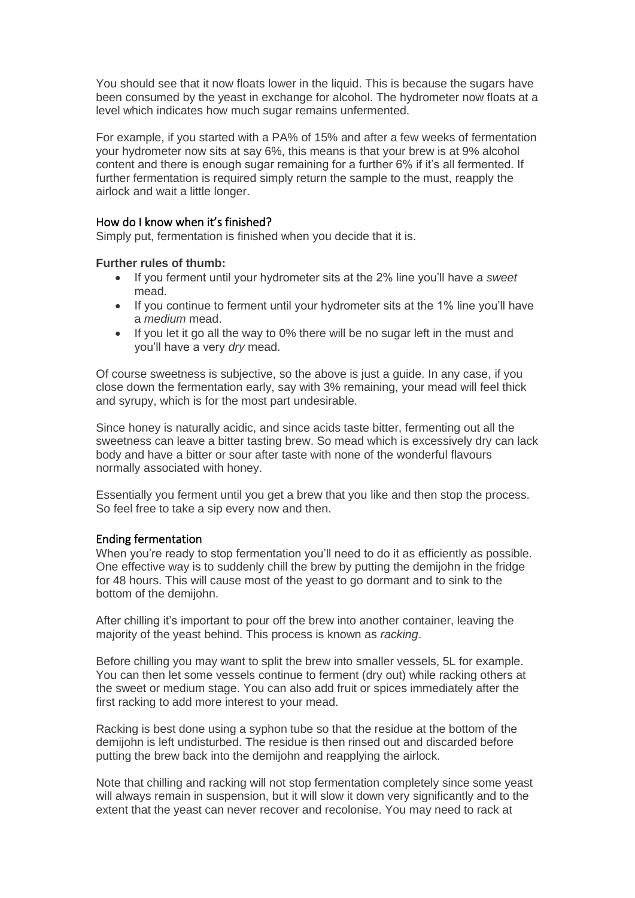You should see that it now floats lower in the liquid. This is because the sugars have been consumed by the yeast in exchange for alcohol. The hydrometer now floats at a level which indicates how much sugar remains unfermented.

For example, if you started with a PA% of 15% and after a few weeks of fermentation your hydrometer now sits at say 6%, this means is that your brew is at 9% alcohol content and there is enough sugar remaining for a further 6% if it's all fermented. If further fermentation is required simply return the sample to the must, reapply the airlock and wait a little longer.

#### How do I know when it's finished?

Simply put, fermentation is finished when you decide that it is.

#### **Further rules of thumb:**

- If you ferment until your hydrometer sits at the 2% line you'll have a *sweet*  mead.
- If you continue to ferment until your hydrometer sits at the 1% line you'll have a *medium* mead.
- If you let it go all the way to 0% there will be no sugar left in the must and you'll have a very *dry* mead.

Of course sweetness is subjective, so the above is just a guide. In any case, if you close down the fermentation early, say with 3% remaining, your mead will feel thick and syrupy, which is for the most part undesirable.

Since honey is naturally acidic, and since acids taste bitter, fermenting out all the sweetness can leave a bitter tasting brew. So mead which is excessively dry can lack body and have a bitter or sour after taste with none of the wonderful flavours normally associated with honey.

Essentially you ferment until you get a brew that you like and then stop the process. So feel free to take a sip every now and then.

#### Ending fermentation

When you're ready to stop fermentation you'll need to do it as efficiently as possible. One effective way is to suddenly chill the brew by putting the demijohn in the fridge for 48 hours. This will cause most of the yeast to go dormant and to sink to the bottom of the demijohn.

After chilling it's important to pour off the brew into another container, leaving the majority of the yeast behind. This process is known as *racking*.

Before chilling you may want to split the brew into smaller vessels, 5L for example. You can then let some vessels continue to ferment (dry out) while racking others at the sweet or medium stage. You can also add fruit or spices immediately after the first racking to add more interest to your mead.

Racking is best done using a syphon tube so that the residue at the bottom of the demijohn is left undisturbed. The residue is then rinsed out and discarded before putting the brew back into the demijohn and reapplying the airlock.

Note that chilling and racking will not stop fermentation completely since some yeast will always remain in suspension, but it will slow it down very significantly and to the extent that the yeast can never recover and recolonise. You may need to rack at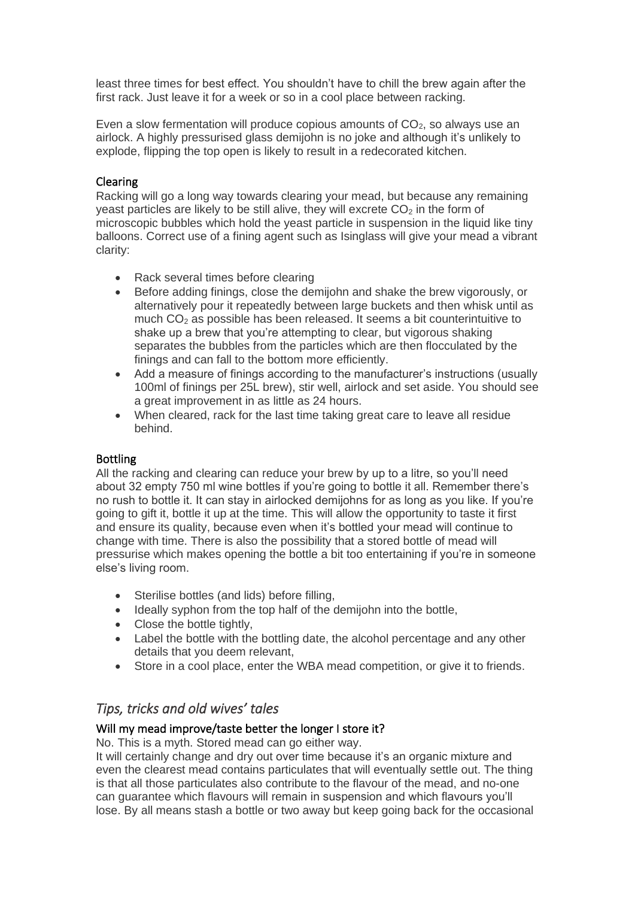least three times for best effect. You shouldn't have to chill the brew again after the first rack. Just leave it for a week or so in a cool place between racking.

Even a slow fermentation will produce copious amounts of  $CO<sub>2</sub>$ , so always use an airlock. A highly pressurised glass demijohn is no joke and although it's unlikely to explode, flipping the top open is likely to result in a redecorated kitchen.

### Clearing

Racking will go a long way towards clearing your mead, but because any remaining yeast particles are likely to be still alive, they will excrete  $CO<sub>2</sub>$  in the form of microscopic bubbles which hold the yeast particle in suspension in the liquid like tiny balloons. Correct use of a fining agent such as Isinglass will give your mead a vibrant clarity:

- Rack several times before clearing
- Before adding finings, close the demijohn and shake the brew vigorously, or alternatively pour it repeatedly between large buckets and then whisk until as much  $CO<sub>2</sub>$  as possible has been released. It seems a bit counterintuitive to shake up a brew that you're attempting to clear, but vigorous shaking separates the bubbles from the particles which are then flocculated by the finings and can fall to the bottom more efficiently.
- Add a measure of finings according to the manufacturer's instructions (usually 100ml of finings per 25L brew), stir well, airlock and set aside. You should see a great improvement in as little as 24 hours.
- When cleared, rack for the last time taking great care to leave all residue behind.

### Bottling

All the racking and clearing can reduce your brew by up to a litre, so you'll need about 32 empty 750 ml wine bottles if you're going to bottle it all. Remember there's no rush to bottle it. It can stay in airlocked demijohns for as long as you like. If you're going to gift it, bottle it up at the time. This will allow the opportunity to taste it first and ensure its quality, because even when it's bottled your mead will continue to change with time. There is also the possibility that a stored bottle of mead will pressurise which makes opening the bottle a bit too entertaining if you're in someone else's living room.

- Sterilise bottles (and lids) before filling,
- Ideally syphon from the top half of the demijohn into the bottle,
- Close the bottle tightly,
- Label the bottle with the bottling date, the alcohol percentage and any other details that you deem relevant,
- Store in a cool place, enter the WBA mead competition, or give it to friends.

# <span id="page-7-0"></span>*Tips, tricks and old wives' tales*

### Will my mead improve/taste better the longer I store it?

No. This is a myth. Stored mead can go either way.

It will certainly change and dry out over time because it's an organic mixture and even the clearest mead contains particulates that will eventually settle out. The thing is that all those particulates also contribute to the flavour of the mead, and no-one can guarantee which flavours will remain in suspension and which flavours you'll lose. By all means stash a bottle or two away but keep going back for the occasional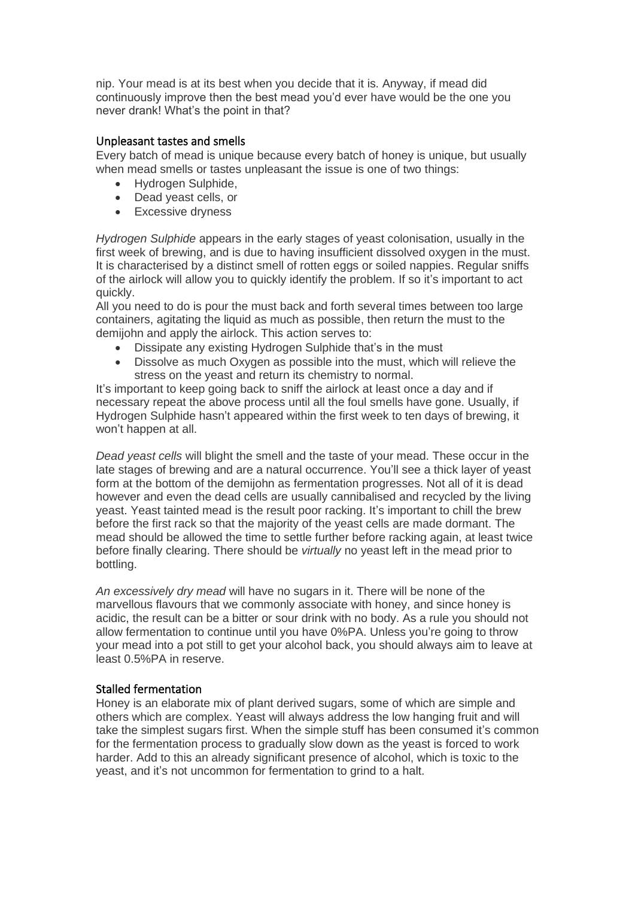nip. Your mead is at its best when you decide that it is. Anyway, if mead did continuously improve then the best mead you'd ever have would be the one you never drank! What's the point in that?

#### Unpleasant tastes and smells

Every batch of mead is unique because every batch of honey is unique, but usually when mead smells or tastes unpleasant the issue is one of two things:

- Hydrogen Sulphide,
- Dead yeast cells, or
- Excessive dryness

*Hydrogen Sulphide* appears in the early stages of yeast colonisation, usually in the first week of brewing, and is due to having insufficient dissolved oxygen in the must. It is characterised by a distinct smell of rotten eggs or soiled nappies. Regular sniffs of the airlock will allow you to quickly identify the problem. If so it's important to act quickly.

All you need to do is pour the must back and forth several times between too large containers, agitating the liquid as much as possible, then return the must to the demijohn and apply the airlock. This action serves to:

- Dissipate any existing Hydrogen Sulphide that's in the must
- Dissolve as much Oxygen as possible into the must, which will relieve the stress on the yeast and return its chemistry to normal.

It's important to keep going back to sniff the airlock at least once a day and if necessary repeat the above process until all the foul smells have gone. Usually, if Hydrogen Sulphide hasn't appeared within the first week to ten days of brewing, it won't happen at all.

*Dead yeast cells* will blight the smell and the taste of your mead. These occur in the late stages of brewing and are a natural occurrence. You'll see a thick layer of yeast form at the bottom of the demijohn as fermentation progresses. Not all of it is dead however and even the dead cells are usually cannibalised and recycled by the living yeast. Yeast tainted mead is the result poor racking. It's important to chill the brew before the first rack so that the majority of the yeast cells are made dormant. The mead should be allowed the time to settle further before racking again, at least twice before finally clearing. There should be *virtually* no yeast left in the mead prior to bottling.

*An excessively dry mead* will have no sugars in it. There will be none of the marvellous flavours that we commonly associate with honey, and since honey is acidic, the result can be a bitter or sour drink with no body. As a rule you should not allow fermentation to continue until you have 0%PA. Unless you're going to throw your mead into a pot still to get your alcohol back, you should always aim to leave at least 0.5%PA in reserve.

#### Stalled fermentation

Honey is an elaborate mix of plant derived sugars, some of which are simple and others which are complex. Yeast will always address the low hanging fruit and will take the simplest sugars first. When the simple stuff has been consumed it's common for the fermentation process to gradually slow down as the yeast is forced to work harder. Add to this an already significant presence of alcohol, which is toxic to the yeast, and it's not uncommon for fermentation to grind to a halt.